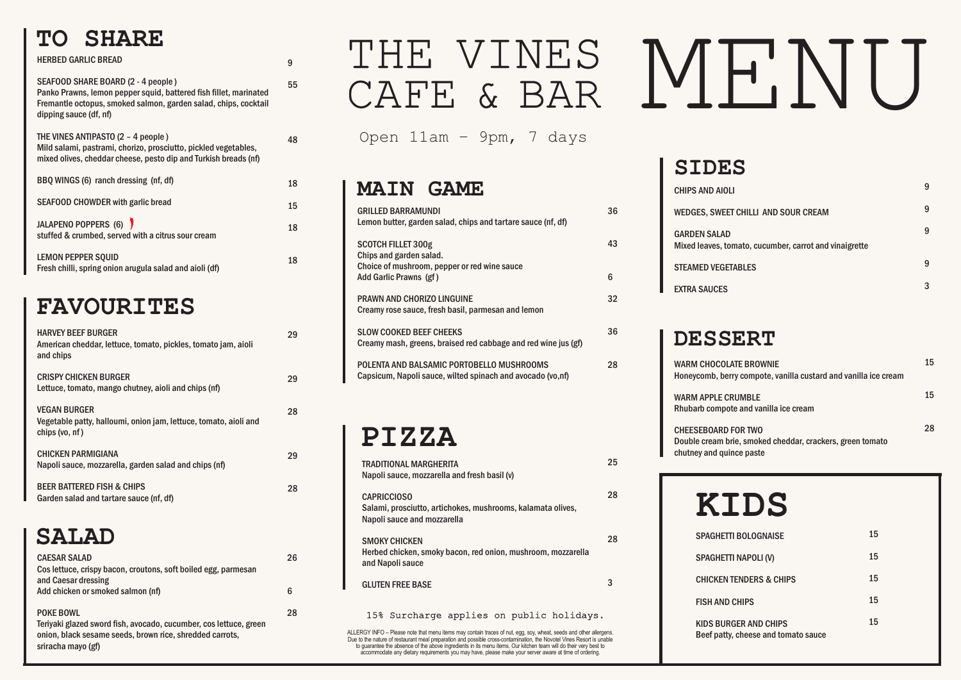#### **TO SHARE**

| <b>HERBED GARLIC BREAD</b>                                                                                                                                                                           | 9  |
|------------------------------------------------------------------------------------------------------------------------------------------------------------------------------------------------------|----|
| SEAFOOD SHARE BOARD (2 - 4 people)<br>Panko Prawns, lemon pepper squid, battered fish fillet, marinated<br>Fremantle octopus, smoked salmon, garden salad, chips, cocktail<br>dipping sauce (df, nf) | 55 |
| THE VINES ANTIPASTO (2 - 4 people)<br>Mild salami, pastrami, chorizo, prosciutto, pickled vegetables,<br>mixed olives, cheddar cheese, pesto dip and Turkish breads (nf)                             | 48 |
| BBQ WINGS (6) ranch dressing (nf, df)                                                                                                                                                                | 18 |
| <b>SEAFOOD CHOWDER with garlic bread</b>                                                                                                                                                             | 15 |
| JALAPENO POPPERS (6)<br>stuffed & crumbed, served with a citrus sour cream                                                                                                                           | 18 |
| <b>LEMON PEPPER SQUID</b><br>Fresh chilli, spring onion arugula salad and aioli (df)                                                                                                                 | 18 |

#### **FAVOURITES**

#### **MAIN GAME**

**CHEESEBOARD** Double cream b chutney and quince paste

| <b>GRILLED BARRAMUNDI</b><br>Lemon butter, garden salad, chips and tartare sauce (nf, df)               | 36 |
|---------------------------------------------------------------------------------------------------------|----|
| <b>SCOTCH FILLET 300g</b><br>Chips and garden salad.<br>Choice of mushroom, pepper or red wine sauce    | 43 |
| Add Garlic Prawns (gf)                                                                                  | 6  |
| <b>PRAWN AND CHORIZO LINGUINE</b><br>Creamy rose sauce, fresh basil, parmesan and lemon                 | 32 |
| <b>SLOW COOKED BEEF CHEEKS</b><br>Creamy mash, greens, braised red cabbage and red wine jus (gf)        | 36 |
| POLENTA AND BALSAMIC PORTOBELLO MUSHROOMS<br>Capsicum, Napoli sauce, wilted spinach and avocado (vo,nf) | 28 |

# THE VINES MENU CAFE & BAR

| <b>HARVEY BEEF BURGER</b><br>American cheddar, lettuce, tomato, pickles, tomato jam, aioli<br>and chips                                                                 | 29 |
|-------------------------------------------------------------------------------------------------------------------------------------------------------------------------|----|
| <b>CRISPY CHICKEN BURGER</b><br>Lettuce, tomato, mango chutney, aioli and chips (nf)                                                                                    | 29 |
| <b>VEGAN BURGER</b><br>Vegetable patty, halloumi, onion jam, lettuce, tomato, aioli and<br>chips (vo, nf)                                                               | 28 |
| <b>CHICKEN PARMIGIANA</b><br>Napoli sauce, mozzarella, garden salad and chips (nf)                                                                                      | 29 |
| <b>BEER BATTERED FISH &amp; CHIPS</b><br>Garden salad and tartare sauce (nf, df)                                                                                        | 28 |
| <b>SALAD</b>                                                                                                                                                            |    |
| <b>CAESAR SALAD</b><br>Cos lettuce, crispy bacon, croutons, soft boiled egg, parmesan<br>and Caesar dressing                                                            | 26 |
| Add chicken or smoked salmon (nf)                                                                                                                                       | 6  |
| <b>POKE BOWL</b><br>Teriyaki glazed sword fish, avocado, cucumber, cos lettuce, green<br>onion, black sesame seeds, brown rice, shredded carrots,<br>sriracha mayo (gf) | 28 |

### **PIZZA**



| <b>CHIPS AND AIOL</b>                   |
|-----------------------------------------|
| <b>WEDGES, SWEET</b>                    |
| <b>GARDEN SALAD</b><br>Mixed leaves, to |
| <b>STEAMED VEGET</b>                    |

| SIDES                                                                         |   |
|-------------------------------------------------------------------------------|---|
| <b>CHIPS AND AIOLI</b>                                                        | 9 |
| WEDGES, SWEET CHILLI AND SOUR CREAM                                           | 9 |
| <b>GARDEN SALAD</b><br>Mixed leaves, tomato, cucumber, carrot and vinaigrette | 9 |
| <b>STEAMED VEGETABLES</b>                                                     | 9 |
| <b>EXTRA SAUCES</b>                                                           | 3 |

#### **DESSERT**

WARM CHOCOI Honeycomb, be

WARM APPLE C Rhubarb compo

| <b>TRADITIONAL MARGHERITA</b><br>Napoli sauce, mozzarella and fresh basil (v)                                    | 25 |
|------------------------------------------------------------------------------------------------------------------|----|
| <b>CAPRICCIOSO</b><br>Salami, prosciutto, artichokes, mushrooms, kalamata olives,<br>Napoli sauce and mozzarella | 28 |
| <b>SMOKY CHICKEN</b><br>Herbed chicken, smoky bacon, red onion, mushroom, mozzarella<br>and Napoli sauce         | 28 |
| <b>GLUTEN FREE BASE</b>                                                                                          | 3  |
| 15% Surcharge applies on public holidays.                                                                        |    |

| ATE BROWNIE.<br>rry compote, vanilla custard and vanilla ice cream | 15 |
|--------------------------------------------------------------------|----|
| <b>RUMBLE</b><br>ote and vanilla ice cream                         | 15 |
| <b>FOR TWO</b><br>prie, smoked cheddar, crackers, green tomato     | 28 |

### **KIDS**

| <b>SPAGHE</b> |
|---------------|
| <b>SPAGHE</b> |

**CHICKEN** 

KIDS BUI Beef patt

| <b>SPAGHETTI BOLOGNAISE</b>                                         | 15 |
|---------------------------------------------------------------------|----|
| <b>SPAGHETTI NAPOLI (V)</b>                                         | 15 |
| <b>CHICKEN TENDERS &amp; CHIPS</b>                                  | 15 |
| <b>FISH AND CHIPS</b>                                               | 15 |
| <b>KIDS BURGER AND CHIPS</b><br>Beef patty, cheese and tomato sauce | 15 |

Open 11am – 9pm, 7 days

ALLERGY INFO – Please note that menu items may contain traces of nut, egg, soy, wheat, seeds and other allergens. Due to the nature of restaurant meal preparation and possible cross-contamination, the Novotel Vines Resort is unable to guarantee the absence of the above ingredients in its menu items. Our kitchen team will do their very best to accommodate any dietary requirements you may have, please make your server aware at time of ordering.